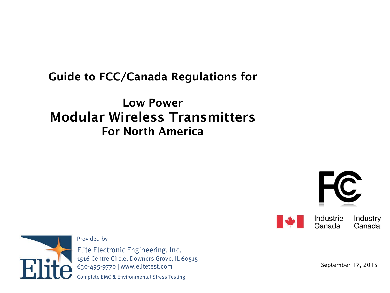### Guide to FCC/Canada Regulations for

### Low Power Modular Wireless Transmitters For North America



Industrie

Canada



Elite Electronic Engineering, Inc. 1516 Centre Circle, Downers Grove, IL 60515 630-495-9770 | www.elitetest.com

Provided by

Complete EMC & Environmental Stress Testing

September 17, 2015

Industry

Canada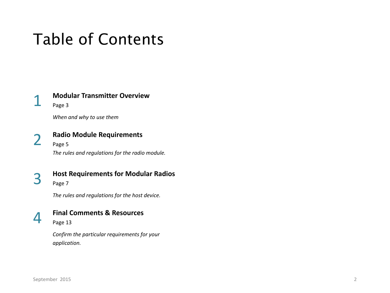# Table of Contents

### 1 **Modular Transmitter Overview**

Page 3

*When and why to use them*

2 **Radio Module Requirements**  Page 5 *The rules and regulations for the radio module.* 

3 **Host Requirements for Modular Radios** Page 7

*The rules and regulations for the host device.* 



### 4 **Final Comments & Resources**

Page 13

*Confirm the particular requirements for your application.*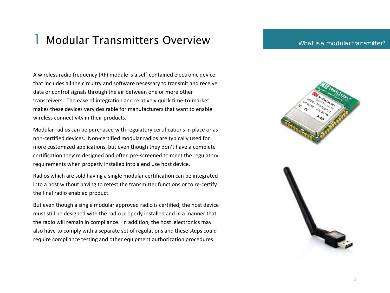### 1 Modular Transmitters Overview

What is a modular transmitter?

A wireless radio frequency (RF) module is a self-contained electronic device that includes all the circuitry and software necessary to transmit and receive data or control signals through the air between one or more other transceivers. The ease of integration and relatively quick time-to-market makes these devices very desirable for manufacturers that want to enable wireless connectivity in their products.

Modular radios can be purchased with regulatory certifications in place or as non-certified devices. Non-certified modular radios are typically used for more customized applications, but even though they don't have a complete certification they're designed and often pre-screened to meet the regulatory requirements when properly installed into a end use host device.

Radios which are sold having a single modular certification can be integrated into a host without having to retest the transmitter functions or to re-certify the final radio enabled product.

But even though a single modular approved radio is certified, the host device must still be designed with the radio properly installed and in a manner that the radio will remain in compliance. In addition, the host electronics may also have to comply with a separate set of regulations and these steps could require compliance testing and other equipment authorization procedures.

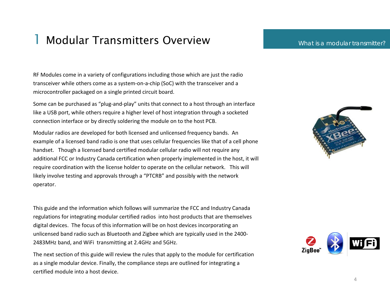### 1 Modular Transmitters Overview

#### What is a modular transmitter?

RF Modules come in a variety of configurations including those which are just the radio transceiver while others come as a system-on-a-chip (SoC) with the transceiver and a microcontroller packaged on a single printed circuit board.

Some can be purchased as "plug-and-play" units that connect to a host through an interface like a USB port, while others require a higher level of host integration through a socketed connection interface or by directly soldering the module on to the host PCB.

Modular radios are developed for both licensed and unlicensed frequency bands. An example of a licensed band radio is one that uses cellular frequencies like that of a cell phone handset. Though a licensed band certified modular cellular radio will not require any additional FCC or Industry Canada certification when properly implemented in the host, it will require coordination with the license holder to operate on the cellular network. This will likely involve testing and approvals through a "PTCRB" and possibly with the network operator.

This guide and the information which follows will summarize the FCC and Industry Canada regulations for integrating modular certified radios into host products that are themselves digital devices. The focus of this information will be on host devices incorporating an unlicensed band radio such as Bluetooth and Zigbee which are typically used in the 2400- 2483MHz band, and WiFi transmitting at 2.4GHz and 5GHz.

The next section of this guide will review the rules that apply to the module for certification as a single modular device. Finally, the compliance steps are outlined for integrating a certified module into a host device.



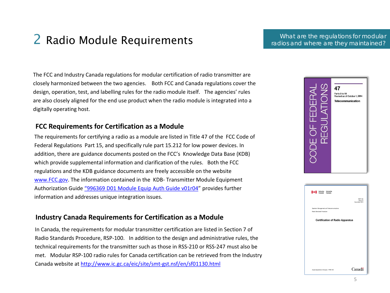## 2 Radio Module Requirements

What are the regulations for modular radios and where are they maintained?

The FCC and Industry Canada regulations for modular certification of radio transmitter are closely harmonized between the two agencies. Both FCC and Canada regulations cover the design, operation, test, and labelling rules for the radio module itself. The agencies' rules are also closely aligned for the end use product when the radio module is integrated into a digitally operating host.

### **FCC Requirements for Certification as a Module**

The requirements for certifying a radio as a module are listed in Title 47 of the FCC Code of Federal Regulations Part 15, and specifically rule part 15.212 for low power devices. In addition, there are guidance documents posted on the FCC's Knowledge Data Base (KDB) which provide supplemental information and clarification of the rules. Both the FCC regulations and the KDB guidance documents are freely accessible on the website [www.FCC.gov](http://www.fcc.gov/). The information contained in the KDB- Transmitter Module Equipment Authorization Guide ["996369 D01 Module Equip Auth](https://apps.fcc.gov/kdb/GetAttachment.html?id=cIpbiLbTdDomywhbMgK6ng%3D%3D&desc=996369%20D01%20Module%20Certification%20Guide%20v01r04&tracking_number=44637) Guide v01r04" provides further information and addresses unique integration issues.

### **Industry Canada Requirements for Certification as a Module**

In Canada, the requirements for modular transmitter certification are listed in Section 7 of Radio Standards Procedure, RSP-100. In addition to the design and administrative rules, the technical requirements for the transmitter such as those in RSS-210 or RSS-247 must also be met. Modular RSP-100 radio rules for Canada certification can be retrieved from the Industry Canada website at<http://www.ic.gc.ca/eic/site/smt-gst.nsf/en/sf01130.html>



| <b>He II</b> Industry Industrie                                         |                                      |
|-------------------------------------------------------------------------|--------------------------------------|
|                                                                         | RSP-100<br>Issue 10<br>November 2014 |
| Spectrum Management and Telecommunications<br>Radio Standards Procedure |                                      |
| <b>Certification of Radio Apparatus</b>                                 |                                      |
|                                                                         |                                      |
|                                                                         |                                      |
|                                                                         |                                      |
|                                                                         |                                      |
| Aussi disponible en français - PNR-100                                  | Canadä                               |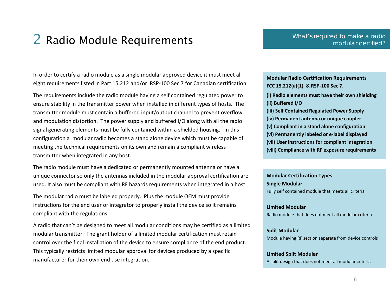### 2 Radio Module Requirements

In order to certify a radio module as a single modular approved device it must meet all eight requirements listed in Part 15.212 and/or RSP-100 Sec 7 for Canadian certification.

The requirements include the radio module having a self contained regulated power to ensure stability in the transmitter power when installed in different types of hosts. The transmitter module must contain a buffered input/output channel to prevent overflow and modulation distortion. The power supply and buffered I/O along with all the radio signal generating elements must be fully contained within a shielded housing. In this configuration a modular radio becomes a stand alone device which must be capable of meeting the technical requirements on its own and remain a compliant wireless transmitter when integrated in any host.

The radio module must have a dedicated or permanently mounted antenna or have a unique connector so only the antennas included in the modular approval certification are used. It also must be compliant with RF hazards requirements when integrated in a host.

The modular radio must be labeled properly. Plus the module OEM must provide instructions for the end user or integrator to properly install the device so it remains compliant with the regulations.

A radio that can't be designed to meet all modular conditions may be certified as a limited modular transmitter The grant holder of a limited modular certification must retain control over the final installation of the device to ensure compliance of the end product. This typically restricts limited modular approval for devices produced by a specific manufacturer for their own end use integration.

**Modular Radio Certification Requirements FCC 15.212(a)(1) & RSP-100 Sec 7. (i) Radio elements must have their own shielding (ii) Buffered I/O (iii) Self Contained Regulated Power Supply (iv) Permanent antenna or unique coupler (v) Compliant in a stand alone configuration (vi) Permanently labeled or e-label displayed (vii) User instructions for compliant integration (viii) Compliance with RF exposure requirements** 

**Modular Certification Types Single Modular**  Fully self contained module that meets all criteria

**Limited Modular**  Radio module that does not meet all modular criteria

**Split Modular**  Module having RF section separate from device controls

**Limited Split Modular**  A split design that does not meet all modular criteria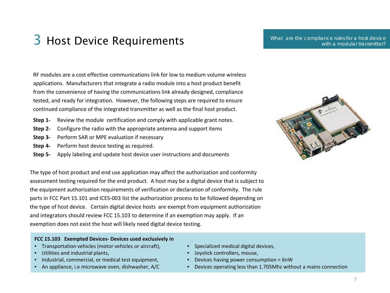What are the compliance rules for a host device with a modular transmitter?

RF modules are a cost effective communications link for low to medium volume wireless applications. Manufacturers that integrate a radio module into a host product benefit from the convenience of having the communications link already designed, compliance tested, and ready for integration. However, the following steps are required to ensure continued compliance of the integrated transmitter as well as the final host product.

- **Step 1-** Review the module certification and comply with applicable grant notes.
- **Step 2-** Configure the radio with the appropriate antenna and support items
- **Step 3-** Perform SAR or MPE evaluation if necessary
- **Step 4-** Perform host device testing as required.
- **Step 5-** Apply labeling and update host device user instructions and documents

 The type of host product and end use application may affect the authorization and conformity assessment testing required for the end product. A host may be a digital device that is subject to the equipment authorization requirements of verification or declaration of conformity. The rule parts in FCC Part 15.101 and ICES-003 list the authorization process to be followed depending on the type of host device. Certain digital device hosts are exempt from equipment authorization and integrators should review FCC 15.103 to determine if an exemption may apply. If an exemption does not exist the host will likely need digital device testing.

#### **FCC 15.103 Exempted Devices- Devices used exclusively in**

- Transportation vehicles (motor vehicles or aircraft),
- Utilities and industrial plants,

j

- Industrial, commercial, or medical test equipment,
- An appliance, i.e microwave oven, dishwasher, A/C



- Specialized medical digital devices,
- Joystick controllers, mouse,
- Devices having power consumption < 6nW
- Devices operating less than 1.705Mhz without a mains connection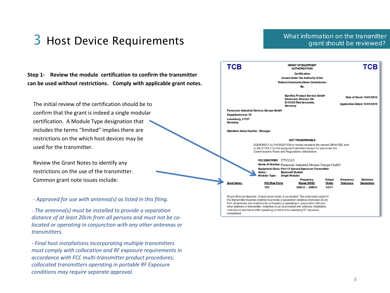### What information on the transmitter grant should be reviewed?

**Step 1- Review the module certification to confirm the transmitter can be used without restrictions. Comply with applicable grant notes.** 

The initial review of the certification should be to confirm that the grant is indeed a single modular certification. A Module Type designation that includes the terms "limited" implies there are restrictions on the which host devices may be used for the transmitter.

Review the Grant Notes to identify any restrictions on the use of the transmitter. Common grant note issues include:

*- Approved for use with antenna(s) as listed in this filing.*

*- The antenna(s) must be installed to provide a separation distance of at least 20cm from all persons and must not be colocated or operating in conjunction with any other antennas or transmitters.* 

*- Final host installations incorporating multiple transmitters must comply with collocation and RF exposure requirements in accordance with FCC multi-transmitter product procedures; collocated transmitters operating in portable RF Exposure conditions may require separate approval.*



compliance.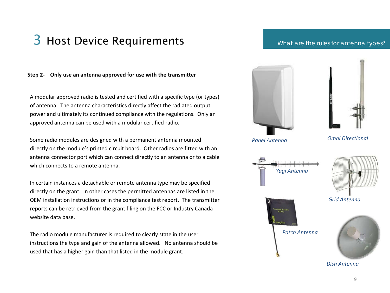#### What are the rules for antenna types?

#### **Step 2- Only use an antenna approved for use with the transmitter**

A modular approved radio is tested and certified with a specific type (or types) of antenna. The antenna characteristics directly affect the radiated output power and ultimately its continued compliance with the regulations. Only an approved antenna can be used with a modular certified radio.

Some radio modules are designed with a permanent antenna mounted directly on the module's printed circuit board. Other radios are fitted with an antenna connector port which can connect directly to an antenna or to a cable which connects to a remote antenna.

In certain instances a detachable or remote antenna type may be specified directly on the grant. In other cases the permitted antennas are listed in the OEM installation instructions or in the compliance test report. The transmitter reports can be retrieved from the grant filing on the FCC or Industry Canada website data base.

The radio module manufacturer is required to clearly state in the user instructions the type and gain of the antenna allowed. No antenna should be used that has a higher gain than that listed in the module grant.

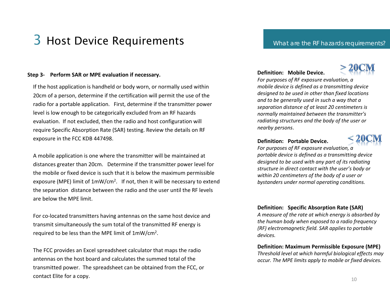#### **Step 3- Perform SAR or MPE evaluation if necessary.**

If the host application is handheld or body worn, or normally used within 20cm of a person, determine if the certification will permit the use of the radio for a portable application. First, determine if the transmitter power level is low enough to be categorically excluded from an RF hazards evaluation. If not excluded, then the radio and host configuration will require Specific Absorption Rate (SAR) testing. Review the details on RF exposure in the FCC KDB 447498.

A mobile application is one where the transmitter will be maintained at distances greater than 20cm. Determine if the transmitter power level for the mobile or fixed device is such that it is below the maximum permissible exposure (MPE) limit of 1mW/cm<sup>2</sup>. If not, then it will be necessary to extend the separation distance between the radio and the user until the RF levels are below the MPE limit.

For co-located transmitters having antennas on the same host device and transmit simultaneously the sum total of the transmitted RF energy is required to be less than the MPE limit of 1mW/cm2.

The FCC provides an Excel spreadsheet calculator that maps the radio antennas on the host board and calculates the summed total of the transmitted power. The spreadsheet can be obtained from the FCC, or contact Elite for a copy.

#### What are the RF hazards requirements?

#### **Definition: Mobile Device.**



*For purposes of RF exposure evaluation, a mobile device is defined as a transmitting device designed to be used in other than fixed locations and to be generally used in such a way that a separation distance of at least 20 centimeters is normally maintained between the transmitter's radiating structures and the body of the user or nearby persons*.

#### **Definition: Portable Device.**



*For purposes of RF exposure evaluation, a portable device is defined as a transmitting device designed to be used with any part of its radiating structure in direct contact with the user's body or within 20 centimeters of the body of a user or bystanders under normal operating conditions.*

#### **Definition: Specific Absorption Rate (SAR)**

*A measure of the rate at which energy is absorbed by the human body when exposed to a radio frequency (RF) electromagnetic field. SAR applies to portable devices.* 

#### **Definition: Maximum Permissible Exposure (MPE)**

*Threshold level at which harmful biological effects may occur. The MPE limits apply to mobile or fixed devices.*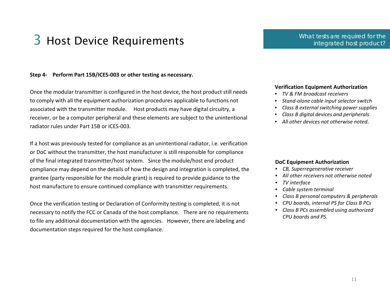#### **Step 4- Perform Part 15B/ICES-003 or other testing as necessary.**

Once the modular transmitter is configured in the host device, the host product still needs to comply with all the equipment authorization procedures applicable to functions not associated with the transmitter module. Host products may have digital circuitry, a receiver, or be a computer peripheral and these elements are subject to the unintentional radiator rules under Part 15B or ICES-003.

If a host was previously tested for compliance as an unintentional radiator, i.e. verification or DoC without the transmitter, the host manufacturer is still responsible for compliance of the final integrated transmitter/host system. Since the module/host end product compliance may depend on the details of how the design and integration is completed, the grantee (party responsible for the module grant) is required to provide guidance to the host manufacture to ensure continued compliance with transmitter requirements.

Once the verification testing or Declaration of Conformity testing is completed, it is not necessary to notify the FCC or Canada of the host compliance. There are no requirements to file any additional documentation with the agencies. However, there are labeling and documentation steps required for the host compliance.

#### **Verification Equipment Authorization**

- *TV & FM broadcast receivers*
- *Stand-alone cable input selector switch*
- *Class B external switching power supplies*
- *Class B digital devices and peripherals*
- *All other devices not otherwise noted*.

#### **DoC Equipment Authorization**

- *CB, Superregenerative receiver*
- *All other receivers not otherwise noted*
- *TV interface*
- *Cable system terminal*
- *Class B personal computers & peripherals*
- *CPU boards, internal PS for Class B PCs*
- *Class B PCs assembled using authorized CPU boards and PS.*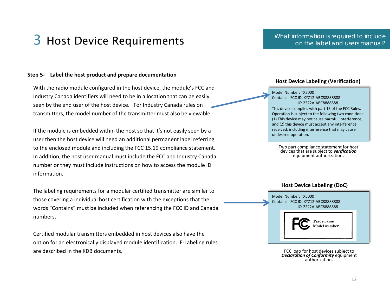#### What information is required to include on the label and users manual?

#### **Step 5- Label the host product and prepare documentation**

With the radio module configured in the host device, the module's FCC and Industry Canada identifiers will need to be in a location that can be easily seen by the end user of the host device. For Industry Canada rules on transmitters, the model number of the transmitter must also be viewable.

If the module is embedded within the host so that it's not easily seen by a user then the host device will need an additional permanent label referring to the enclosed module and including the FCC 15.19 compliance statement. In addition, the host user manual must include the FCC and Industry Canada number or they must include instructions on how to access the module ID information.

The labeling requirements for a modular certified transmitter are similar to those covering a individual host certification with the exceptions that the words "Contains" must be included when referencing the FCC ID and Canada numbers.

Certified modular transmitters embedded in host devices also have the option for an electronically displayed module identification. E-Labeling rules are described in the KDB documents.

#### **Host Device Labeling (Verification)**

Model Number: TX5000 Contains FCC ID: XYZ12-ABC88888888 IC: 2222A-ABC8888888

This device complies with part 15 of the FCC Rules. Operation is subject to the following two conditions: (1) This device may not cause harmful interference, and (2) this device must accept any interference received, including interference that may cause undesired operation.

Two part compliance statement for host devices that are subject to *verification* equipment authorization.

#### **Host Device Labeling (DoC)**



FCC logo for host devices subject to *Declaration of Conformity* equipment authorization.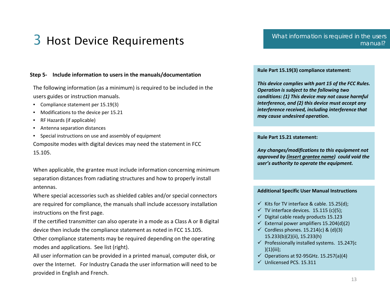#### **Step 5- Include information to users in the manuals/documentation**

The following information (as a minimum) is required to be included in the users guides or instruction manuals.

- Compliance statement per 15.19(3)
- Modifications to the device per 15.21
- RF Hazards (if applicable)
- Antenna separation distances
- Special instructions on use and assembly of equipment

Composite modes with digital devices may need the statement in FCC 15.105.

When applicable, the grantee must include information concerning minimum separation distances from radiating structures and how to properly install antennas.

Where special accessories such as shielded cables and/or special connectors are required for compliance, the manuals shall include accessory installation instructions on the first page.

If the certified transmitter can also operate in a mode as a Class A or B digital device then include the compliance statement as noted in FCC 15.105.

Other compliance statements may be required depending on the operating modes and applications. See list (right).

All user information can be provided in a printed manual, computer disk, or over the Internet. For Industry Canada the user information will need to be provided in English and French.

#### **Rule Part 15.19(3) compliance statement:**

*This device complies with part 15 of the FCC Rules. Operation is subject to the following two conditions: (1) This device may not cause harmful interference, and (2) this device must accept any interference received, including interference that may cause undesired operation***.**

#### **Rule Part 15.21 statement:**

*Any changes/modifications to this equipment not approved by (insert grantee name) could void the user's authority to operate the equipment.* 

#### **Additional Specific User Manual Instructions**

- $\checkmark$  Kits for TV interface & cable. 15.25(d);
- $\checkmark$  TV interface devices. 15.115 (c)(5);
- $\checkmark$  Digital cable ready products 15.123
- $\checkmark$  External power amplifiers 15.204(d)(2)
- $\checkmark$  Cordless phones. 15.214(c) & (d)(3) 15.233(b)(2)(ii), 15.233(h)
- $\checkmark$  Professionally installed systems. 15.247(c  $)(1)(iii);$
- $\checkmark$  Operations at 92-95GHz. 15.257(a)(4)
- Unlicensed PCS. 15.311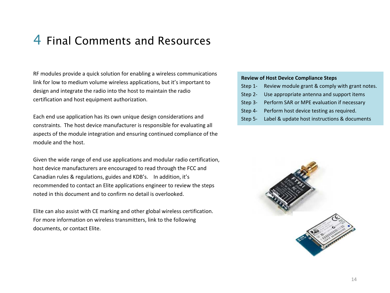### 4 Final Comments and Resources

RF modules provide a quick solution for enabling a wireless communications link for low to medium volume wireless applications, but it's important to design and integrate the radio into the host to maintain the radio certification and host equipment authorization.

Each end use application has its own unique design considerations and constraints. The host device manufacturer is responsible for evaluating all aspects of the module integration and ensuring continued compliance of the module and the host.

Given the wide range of end use applications and modular radio certification, host device manufacturers are encouraged to read through the FCC and Canadian rules & regulations, guides and KDB's. In addition, it's recommended to contact an Elite applications engineer to review the steps noted in this document and to confirm no detail is overlooked.

Elite can also assist with CE marking and other global wireless certification. For more information on wireless transmitters, link to the following documents, or contact Elite.

#### **Review of Host Device Compliance Steps**

- Step 1- Review module grant & comply with grant notes.
- Step 2- Use appropriate antenna and support items
- Step 3- Perform SAR or MPE evaluation if necessary
- Step 4- Perform host device testing as required.
- Step 5- Label & update host instructions & documents

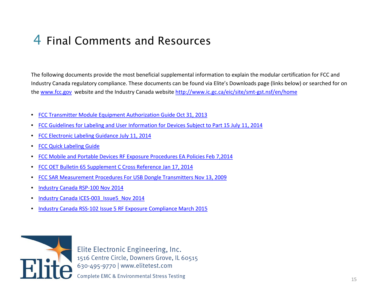### 4 Final Comments and Resources

The following documents provide the most beneficial supplemental information to explain the modular certification for FCC and Industry Canada regulatory compliance. These documents can be found via Elite's Downloads page (links below) or searched for on the [www.fcc.gov](http://www.fcc.gov/) website and the Industry Canada website [http://www.ic.gc.ca/eic/site/smt-gst.nsf/en/home](http://www.ic.gc.ca/eic/site/smt-gst.nsf/eng/home)

- [FCC Transmitter Module Equipment Authorization Guide Oct 31, 2013](http://www.elitetest.com/sites/default/files/downloads/fcc_transmitter_module_equipment_authorization_guide_oct_31_2013.pdf)
- [FCC Guidelines for Labeling and User Information for Devices Subject to Part 15 July 11, 2014](http://www.elitetest.com/sites/default/files/downloads/fcc_guidelines_for_labelling_and_user_information_for_devices_subject_to_part_15_july_11_2014.pdf)
- [FCC Electronic Labeling Guidance July 11, 2014](http://www.elitetest.com/sites/default/files/downloads/fcc_electronic_labeling_guidance_july_11_2014.pdf)
- [FCC Quick Labeling Guide](http://www.elitetest.com/sites/default/files/downloads/fcc_quick_labelling_guide.pdf)
- [FCC Mobile and Portable Devices](http://www.elitetest.com/sites/default/files/downloads/fcc_mobile_adn_portable_devices_rf_exposure_procedures_ea_policies_feb_72014.pdf) [RF Exposure](http://www.elitetest.com/sites/default/files/downloads/fcc_mobile_adn_portable_devices_rf_exposure_procedures_ea_policies_feb_72014.pdf) [Procedures](http://www.elitetest.com/sites/default/files/downloads/fcc_mobile_adn_portable_devices_rf_exposure_procedures_ea_policies_feb_72014.pdf) [EA Policies](http://www.elitetest.com/sites/default/files/downloads/fcc_mobile_adn_portable_devices_rf_exposure_procedures_ea_policies_feb_72014.pdf) [Feb](http://www.elitetest.com/sites/default/files/downloads/fcc_mobile_adn_portable_devices_rf_exposure_procedures_ea_policies_feb_72014.pdf) [7,2014](http://www.elitetest.com/sites/default/files/downloads/fcc_mobile_adn_portable_devices_rf_exposure_procedures_ea_policies_feb_72014.pdf)
- [FCC OET Bulletin 65 Supplement C Cross Reference Jan 17, 2014](http://www.elitetest.com/sites/default/files/downloads/fcc_oet_bulletin_65_supplment_c_cross_reference_jan_17_2014.pdf)
- [FCC SAR Measurement Procedures For USB Dongle Transmitters Nov 13, 2009](http://www.elitetest.com/sites/default/files/downloads/fcc_sar_measurement_procedures_for_usb_dongle_transmitters_nov_13_2009.pdf)
- [Industry Canada RSP-100 Nov 2014](http://www.elitetest.com/sites/default/files/downloads/industry_canada_rsp-100_nov_2014.pdf)
- Industry Canada ICES-003 Issue5 Nov 2014
- [Industry Canada RSS-102 Issue 5 RF Exposure Compliance March 2015](http://www.elitetest.com/sites/default/files/downloads/industry_canada_rss-102_rf_exposure_compliance_march_2015.pdf)



Elite Electronic Engineering, Inc. 1516 Centre Circle, Downers Grove, IL 60515 630-495-9770 | www.elitetest.com

Complete EMC & Environmental Stress Testing